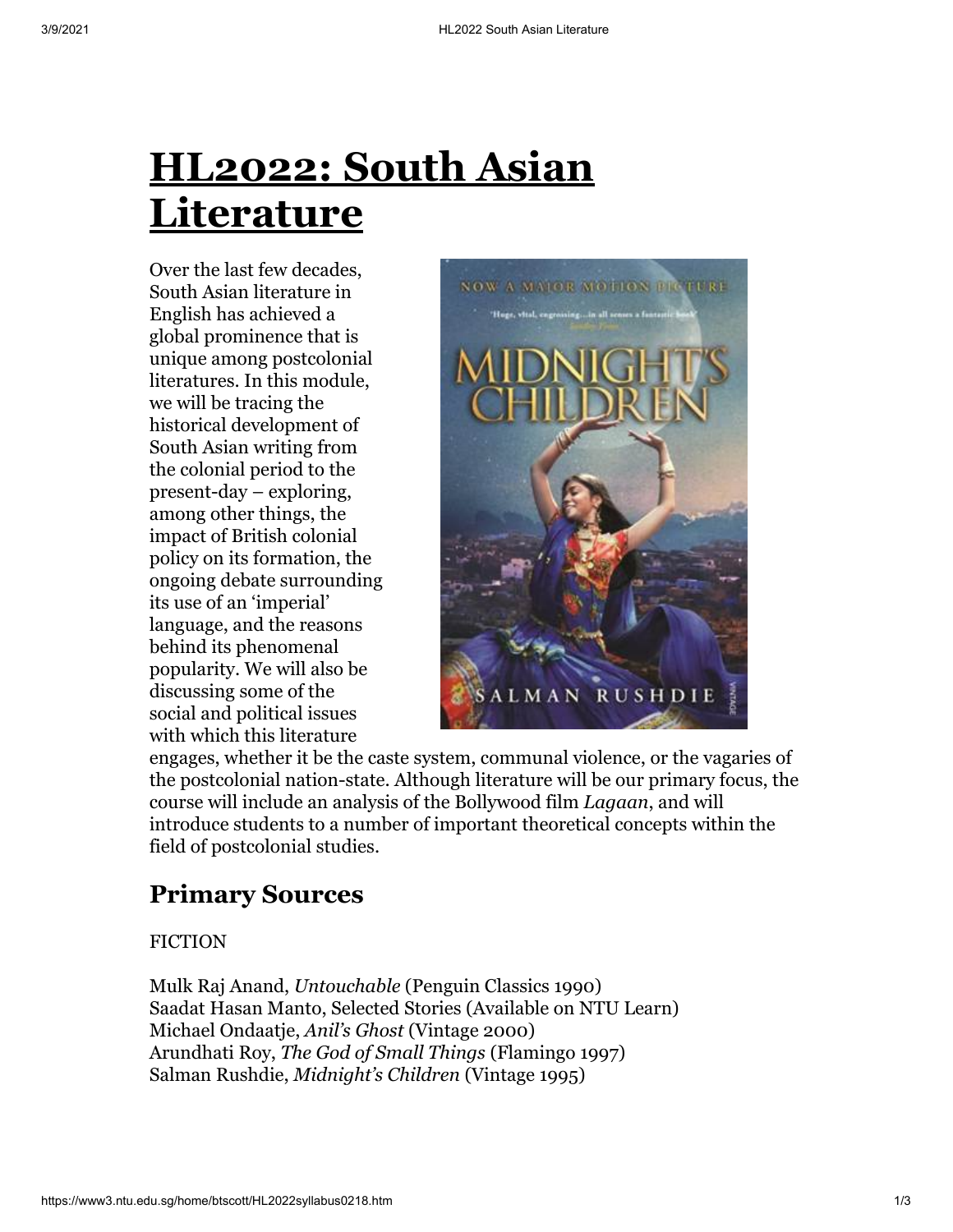# **HL2022: South Asian Literature**

Over the last few decades, South Asian literature in English has achieved a global prominence that is unique among postcolonial literatures. In this module, we will be tracing the historical development of South Asian writing from the colonial period to the present-day – exploring, among other things, the impact of British colonial policy on its formation, the ongoing debate surrounding its use of an 'imperial' language, and the reasons behind its phenomenal popularity. We will also be discussing some of the social and political issues with which this literature



engages, whether it be the caste system, communal violence, or the vagaries of the postcolonial nation-state. Although literature will be our primary focus, the course will include an analysis of the Bollywood film *Lagaan*, and will introduce students to a number of important theoretical concepts within the field of postcolonial studies.

## **Primary Sources**

#### **FICTION**

Mulk Raj Anand, *Untouchable* (Penguin Classics 1990) Saadat Hasan Manto, Selected Stories (Available on NTU Learn) Michael Ondaatje, *Anil's Ghost* (Vintage 2000) Arundhati Roy, *The God of Small Things* (Flamingo 1997) Salman Rushdie, *Midnight's Children* (Vintage 1995)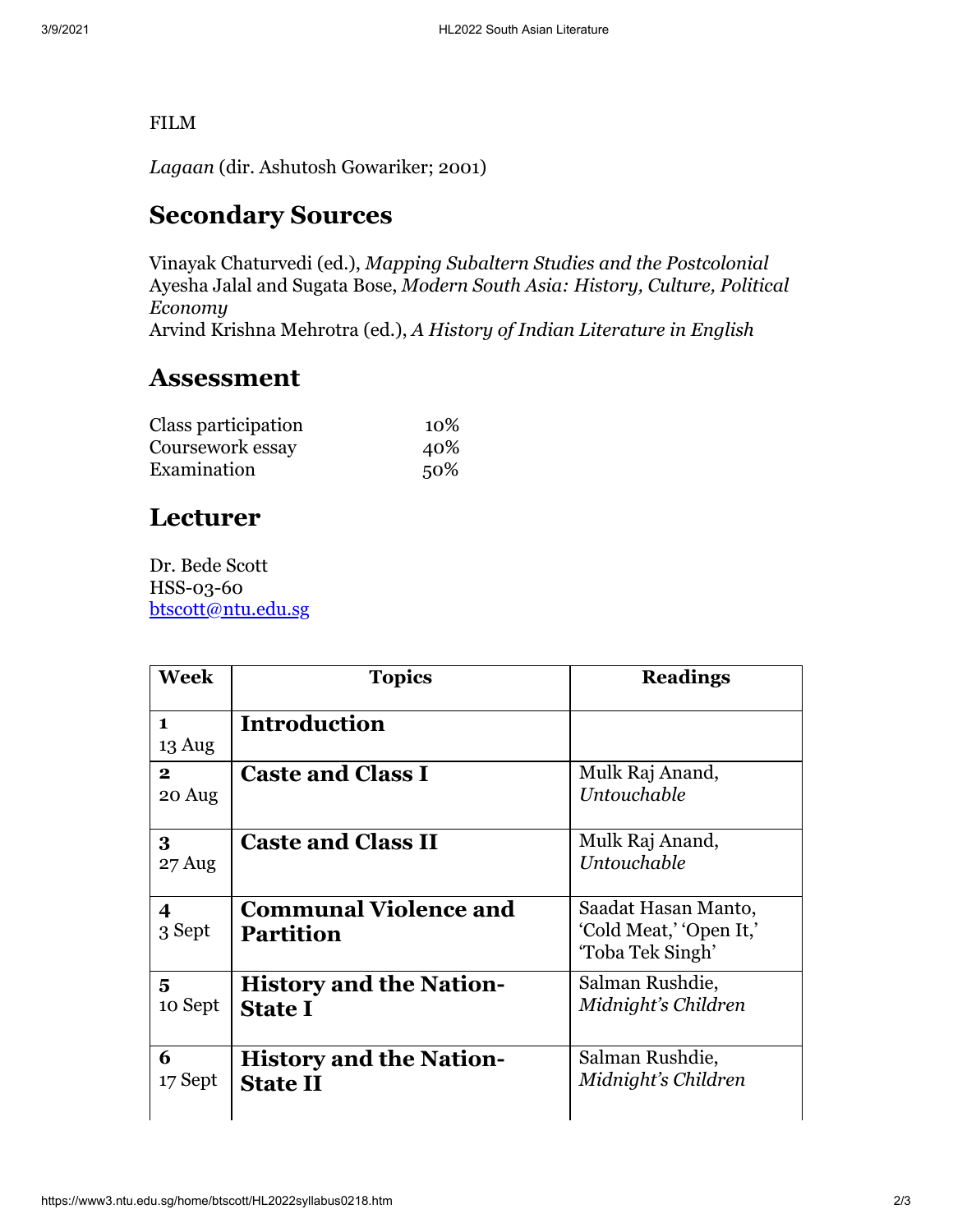#### FILM

*Lagaan* (dir. Ashutosh Gowariker; 2001)

## **Secondary Sources**

Vinayak Chaturvedi (ed.), *Mapping Subaltern Studies and the Postcolonial* Ayesha Jalal and Sugata Bose, *Modern South Asia: History, Culture, Political Economy* Arvind Krishna Mehrotra (ed.), *A History of Indian Literature in English*

### **Assessment**

| Class participation | 10\% |
|---------------------|------|
| Coursework essay    | 40%  |
| Examination         | 50%  |

## **Lecturer**

Dr. Bede Scott HSS-03-60 [btscott@ntu.edu.sg](mailto:btscott@ntu.edu.sg)

| Week                   | <b>Topics</b>                                     | <b>Readings</b>                                                    |
|------------------------|---------------------------------------------------|--------------------------------------------------------------------|
| $\mathbf{1}$<br>13 Aug | <b>Introduction</b>                               |                                                                    |
| $\mathbf{2}$<br>20 Aug | <b>Caste and Class I</b>                          | Mulk Raj Anand,<br>Untouchable                                     |
| 3<br>27 Aug            | <b>Caste and Class II</b>                         | Mulk Raj Anand,<br>Untouchable                                     |
| 4<br>3 Sept            | <b>Communal Violence and</b><br><b>Partition</b>  | Saadat Hasan Manto,<br>'Cold Meat,' 'Open It,'<br>'Toba Tek Singh' |
| 5<br>10 Sept           | <b>History and the Nation-</b><br><b>State I</b>  | Salman Rushdie,<br>Midnight's Children                             |
| 6<br>17 Sept           | <b>History and the Nation-</b><br><b>State II</b> | Salman Rushdie,<br>Midnight's Children                             |